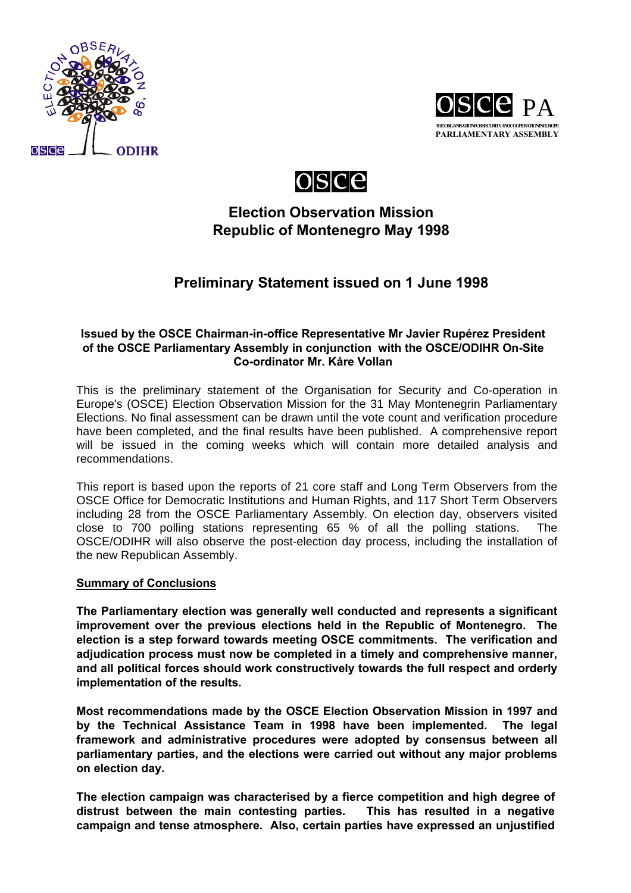





## **Election Observation Mission Republic of Montenegro May 1998**

# **Preliminary Statement issued on 1 June 1998**

## **Issued by the OSCE Chairman-in-office Representative Mr Javier Rupérez President of the OSCE Parliamentary Assembly in conjunction with the OSCE/ODIHR On-Site Co-ordinator Mr. Kåre Vollan**

This is the preliminary statement of the Organisation for Security and Co-operation in Europe's (OSCE) Election Observation Mission for the 31 May Montenegrin Parliamentary Elections. No final assessment can be drawn until the vote count and verification procedure have been completed, and the final results have been published. A comprehensive report will be issued in the coming weeks which will contain more detailed analysis and recommendations.

This report is based upon the reports of 21 core staff and Long Term Observers from the OSCE Office for Democratic Institutions and Human Rights, and 117 Short Term Observers including 28 from the OSCE Parliamentary Assembly. On election day, observers visited close to 700 polling stations representing 65 % of all the polling stations. The OSCE/ODIHR will also observe the post-election day process, including the installation of the new Republican Assembly.

## **Summary of Conclusions**

**The Parliamentary election was generally well conducted and represents a significant improvement over the previous elections held in the Republic of Montenegro. The election is a step forward towards meeting OSCE commitments. The verification and adjudication process must now be completed in a timely and comprehensive manner, and all political forces should work constructively towards the full respect and orderly implementation of the results.**

**Most recommendations made by the OSCE Election Observation Mission in 1997 and by the Technical Assistance Team in 1998 have been implemented. The legal framework and administrative procedures were adopted by consensus between all parliamentary parties, and the elections were carried out without any major problems on election day.**

**The election campaign was characterised by a fierce competition and high degree of distrust between the main contesting parties. This has resulted in a negative campaign and tense atmosphere. Also, certain parties have expressed an unjustified**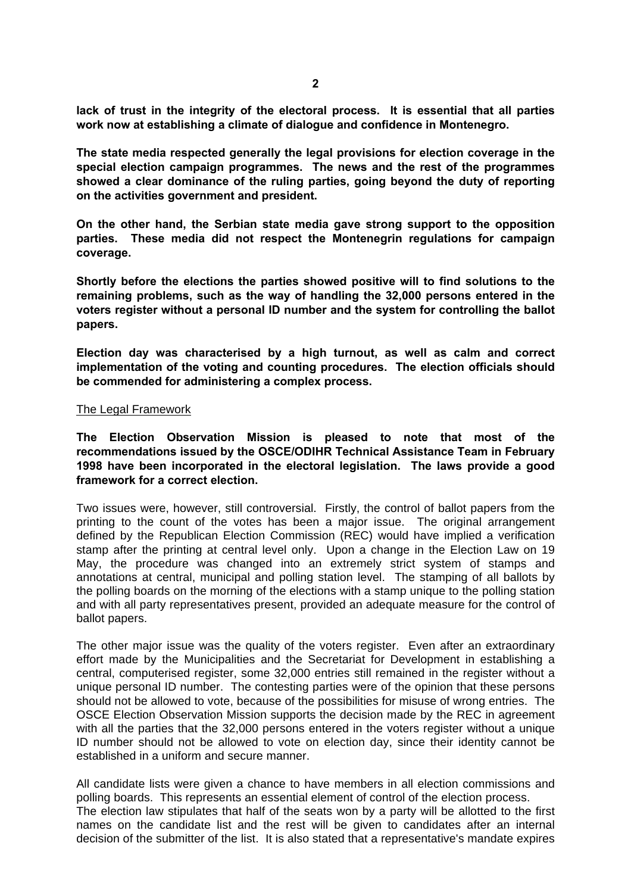**lack of trust in the integrity of the electoral process. It is essential that all parties work now at establishing a climate of dialogue and confidence in Montenegro.**

**The state media respected generally the legal provisions for election coverage in the special election campaign programmes. The news and the rest of the programmes showed a clear dominance of the ruling parties, going beyond the duty of reporting on the activities government and president.**

**On the other hand, the Serbian state media gave strong support to the opposition parties. These media did not respect the Montenegrin regulations for campaign coverage.**

**Shortly before the elections the parties showed positive will to find solutions to the remaining problems, such as the way of handling the 32,000 persons entered in the voters register without a personal ID number and the system for controlling the ballot papers.**

**Election day was characterised by a high turnout, as well as calm and correct implementation of the voting and counting procedures. The election officials should be commended for administering a complex process.**

#### The Legal Framework

**The Election Observation Mission is pleased to note that most of the recommendations issued by the OSCE/ODIHR Technical Assistance Team in February 1998 have been incorporated in the electoral legislation. The laws provide a good framework for a correct election.**

Two issues were, however, still controversial. Firstly, the control of ballot papers from the printing to the count of the votes has been a major issue. The original arrangement defined by the Republican Election Commission (REC) would have implied a verification stamp after the printing at central level only. Upon a change in the Election Law on 19 May, the procedure was changed into an extremely strict system of stamps and annotations at central, municipal and polling station level. The stamping of all ballots by the polling boards on the morning of the elections with a stamp unique to the polling station and with all party representatives present, provided an adequate measure for the control of ballot papers.

The other major issue was the quality of the voters register. Even after an extraordinary effort made by the Municipalities and the Secretariat for Development in establishing a central, computerised register, some 32,000 entries still remained in the register without a unique personal ID number. The contesting parties were of the opinion that these persons should not be allowed to vote, because of the possibilities for misuse of wrong entries. The OSCE Election Observation Mission supports the decision made by the REC in agreement with all the parties that the 32,000 persons entered in the voters register without a unique ID number should not be allowed to vote on election day, since their identity cannot be established in a uniform and secure manner.

All candidate lists were given a chance to have members in all election commissions and polling boards. This represents an essential element of control of the election process. The election law stipulates that half of the seats won by a party will be allotted to the first names on the candidate list and the rest will be given to candidates after an internal decision of the submitter of the list. It is also stated that a representative's mandate expires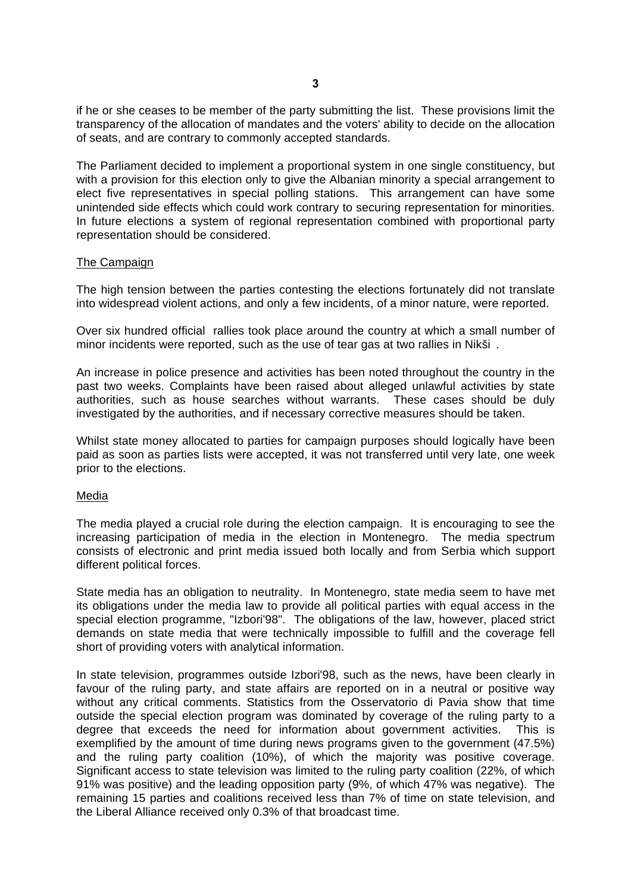if he or she ceases to be member of the party submitting the list. These provisions limit the transparency of the allocation of mandates and the voters' ability to decide on the allocation of seats, and are contrary to commonly accepted standards.

The Parliament decided to implement a proportional system in one single constituency, but with a provision for this election only to give the Albanian minority a special arrangement to elect five representatives in special polling stations. This arrangement can have some unintended side effects which could work contrary to securing representation for minorities. In future elections a system of regional representation combined with proportional party representation should be considered.

#### The Campaign

The high tension between the parties contesting the elections fortunately did not translate into widespread violent actions, and only a few incidents, of a minor nature, were reported.

Over six hundred official rallies took place around the country at which a small number of minor incidents were reported, such as the use of tear gas at two rallies in Nikši .

An increase in police presence and activities has been noted throughout the country in the past two weeks. Complaints have been raised about alleged unlawful activities by state authorities, such as house searches without warrants. These cases should be duly investigated by the authorities, and if necessary corrective measures should be taken.

Whilst state money allocated to parties for campaign purposes should logically have been paid as soon as parties lists were accepted, it was not transferred until very late, one week prior to the elections.

#### Media

The media played a crucial role during the election campaign. It is encouraging to see the increasing participation of media in the election in Montenegro. The media spectrum consists of electronic and print media issued both locally and from Serbia which support different political forces.

State media has an obligation to neutrality. In Montenegro, state media seem to have met its obligations under the media law to provide all political parties with equal access in the special election programme, "Izbori'98". The obligations of the law, however, placed strict demands on state media that were technically impossible to fulfill and the coverage fell short of providing voters with analytical information.

In state television, programmes outside Izbori'98, such as the news, have been clearly in favour of the ruling party, and state affairs are reported on in a neutral or positive way without any critical comments. Statistics from the Osservatorio di Pavia show that time outside the special election program was dominated by coverage of the ruling party to a degree that exceeds the need for information about government activities. This is exemplified by the amount of time during news programs given to the government (47.5%) and the ruling party coalition (10%), of which the majority was positive coverage. Significant access to state television was limited to the ruling party coalition (22%, of which 91% was positive) and the leading opposition party (9%, of which 47% was negative). The remaining 15 parties and coalitions received less than 7% of time on state television, and the Liberal Alliance received only 0.3% of that broadcast time.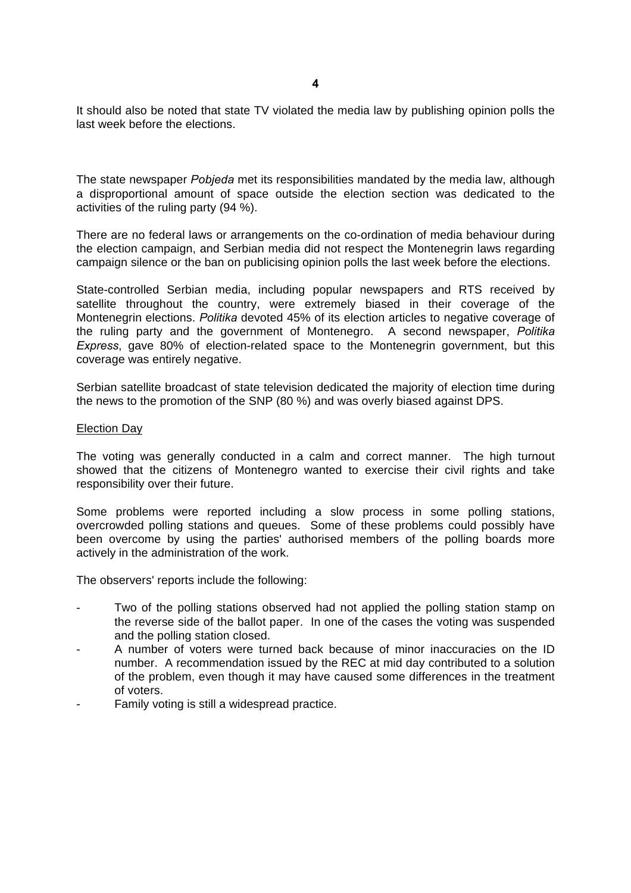It should also be noted that state TV violated the media law by publishing opinion polls the last week before the elections.

The state newspaper *Pobjeda* met its responsibilities mandated by the media law, although a disproportional amount of space outside the election section was dedicated to the activities of the ruling party (94 %).

There are no federal laws or arrangements on the co-ordination of media behaviour during the election campaign, and Serbian media did not respect the Montenegrin laws regarding campaign silence or the ban on publicising opinion polls the last week before the elections.

State-controlled Serbian media, including popular newspapers and RTS received by satellite throughout the country, were extremely biased in their coverage of the Montenegrin elections. *Politika* devoted 45% of its election articles to negative coverage of the ruling party and the government of Montenegro. A second newspaper, *Politika Express*, gave 80% of election-related space to the Montenegrin government, but this coverage was entirely negative.

Serbian satellite broadcast of state television dedicated the majority of election time during the news to the promotion of the SNP (80 %) and was overly biased against DPS.

#### Election Day

The voting was generally conducted in a calm and correct manner. The high turnout showed that the citizens of Montenegro wanted to exercise their civil rights and take responsibility over their future.

Some problems were reported including a slow process in some polling stations, overcrowded polling stations and queues. Some of these problems could possibly have been overcome by using the parties' authorised members of the polling boards more actively in the administration of the work.

The observers' reports include the following:

- Two of the polling stations observed had not applied the polling station stamp on the reverse side of the ballot paper. In one of the cases the voting was suspended and the polling station closed.
- A number of voters were turned back because of minor inaccuracies on the ID number. A recommendation issued by the REC at mid day contributed to a solution of the problem, even though it may have caused some differences in the treatment of voters.
- Family voting is still a widespread practice.